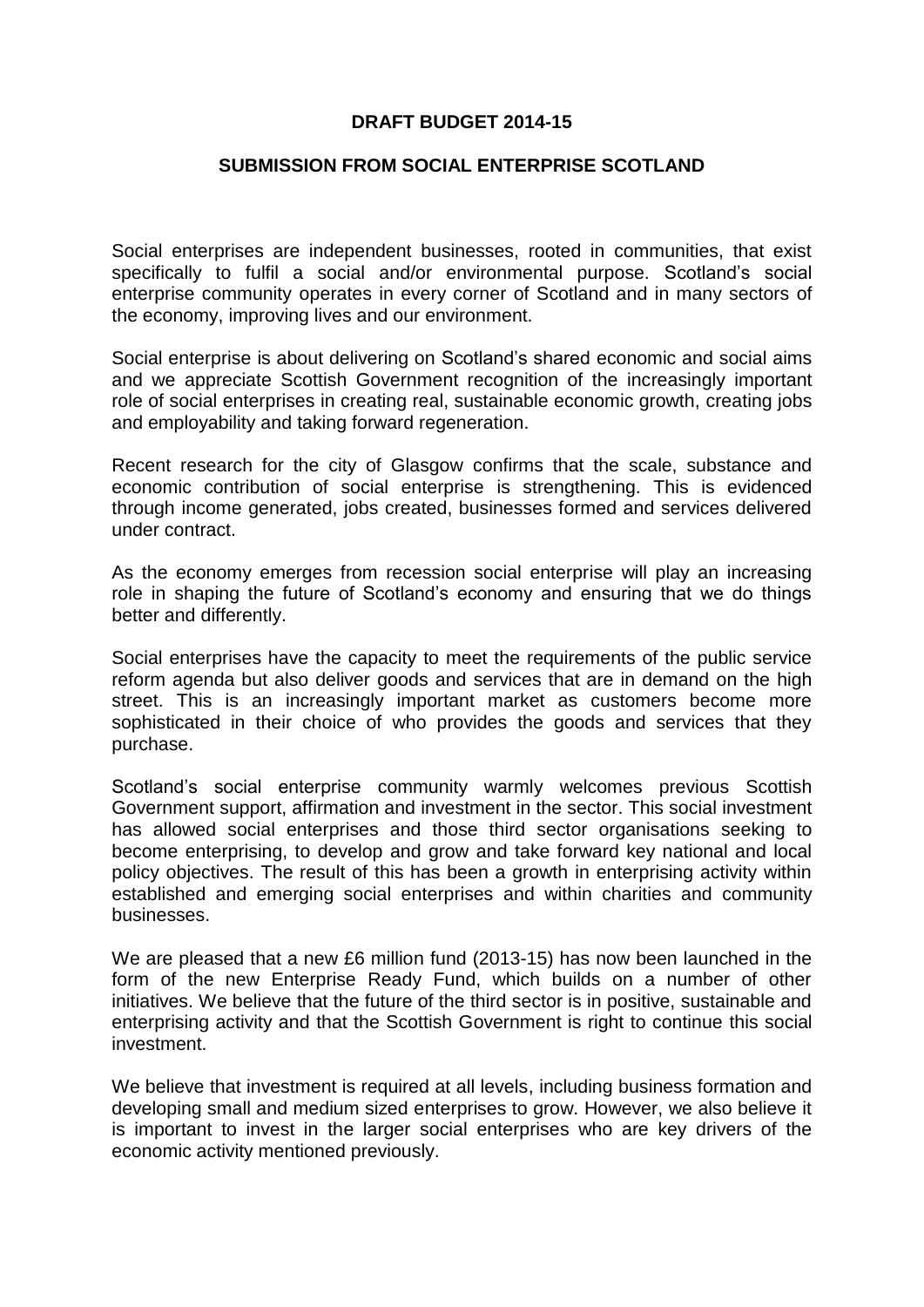## **DRAFT BUDGET 2014-15**

## **SUBMISSION FROM SOCIAL ENTERPRISE SCOTLAND**

Social enterprises are independent businesses, rooted in communities, that exist specifically to fulfil a social and/or environmental purpose. Scotland's social enterprise community operates in every corner of Scotland and in many sectors of the economy, improving lives and our environment.

Social enterprise is about delivering on Scotland's shared economic and social aims and we appreciate Scottish Government recognition of the increasingly important role of social enterprises in creating real, sustainable economic growth, creating jobs and employability and taking forward regeneration.

Recent research for the city of Glasgow confirms that the scale, substance and economic contribution of social enterprise is strengthening. This is evidenced through income generated, jobs created, businesses formed and services delivered under contract.

As the economy emerges from recession social enterprise will play an increasing role in shaping the future of Scotland's economy and ensuring that we do things better and differently.

Social enterprises have the capacity to meet the requirements of the public service reform agenda but also deliver goods and services that are in demand on the high street. This is an increasingly important market as customers become more sophisticated in their choice of who provides the goods and services that they purchase.

Scotland's social enterprise community warmly welcomes previous Scottish Government support, affirmation and investment in the sector. This social investment has allowed social enterprises and those third sector organisations seeking to become enterprising, to develop and grow and take forward key national and local policy objectives. The result of this has been a growth in enterprising activity within established and emerging social enterprises and within charities and community businesses.

We are pleased that a new £6 million fund (2013-15) has now been launched in the form of the new Enterprise Ready Fund, which builds on a number of other initiatives. We believe that the future of the third sector is in positive, sustainable and enterprising activity and that the Scottish Government is right to continue this social investment.

We believe that investment is required at all levels, including business formation and developing small and medium sized enterprises to grow. However, we also believe it is important to invest in the larger social enterprises who are key drivers of the economic activity mentioned previously.